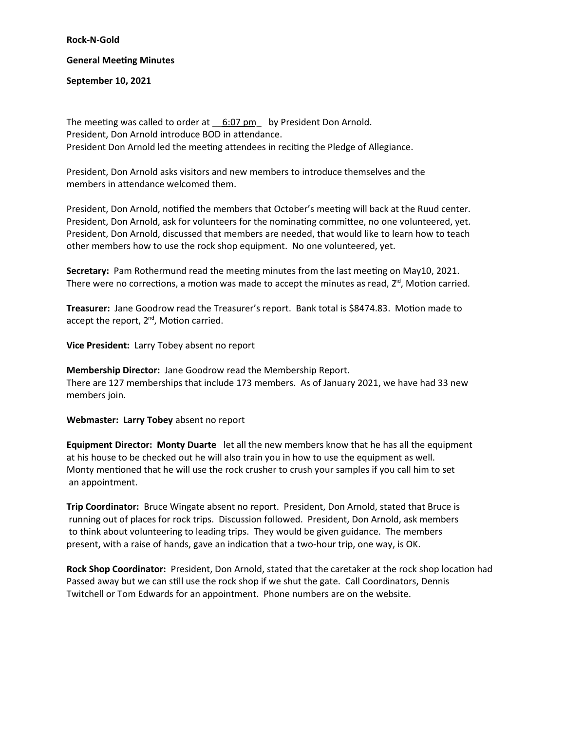**Rock-N-Gold**

## **General Meeting Minutes**

**September 10, 2021**

The meeting was called to order at  $6:07 \text{ pm}$  by President Don Arnold. President, Don Arnold introduce BOD in attendance. President Don Arnold led the meeting attendees in reciting the Pledge of Allegiance.

President, Don Arnold asks visitors and new members to introduce themselves and the members in attendance welcomed them.

President, Don Arnold, notified the members that October's meeting will back at the Ruud center. President, Don Arnold, ask for volunteers for the nominating committee, no one volunteered, yet. President, Don Arnold, discussed that members are needed, that would like to learn how to teach other members how to use the rock shop equipment. No one volunteered, yet.

**Secretary:** Pam Rothermund read the meeting minutes from the last meeting on May10, 2021. There were no corrections, a motion was made to accept the minutes as read,  $2<sup>nd</sup>$ , Motion carried.

**Treasurer:** Jane Goodrow read the Treasurer's report. Bank total is \$8474.83. Motion made to accept the report,  $2^{nd}$ , Motion carried.

**Vice President:** Larry Tobey absent no report

**Membership Director:** Jane Goodrow read the Membership Report. There are 127 memberships that include 173 members. As of January 2021, we have had 33 new members join.

**Webmaster: Larry Tobey** absent no report

**Equipment Director: Monty Duarte** let all the new members know that he has all the equipment at his house to be checked out he will also train you in how to use the equipment as well. Monty mentioned that he will use the rock crusher to crush your samples if you call him to set an appointment.

**Trip Coordinator:** Bruce Wingate absent no report. President, Don Arnold, stated that Bruce is running out of places for rock trips. Discussion followed. President, Don Arnold, ask members to think about volunteering to leading trips. They would be given guidance. The members present, with a raise of hands, gave an indication that a two-hour trip, one way, is OK.

**Rock Shop Coordinator:** President, Don Arnold, stated that the caretaker at the rock shop location had Passed away but we can still use the rock shop if we shut the gate. Call Coordinators, Dennis Twitchell or Tom Edwards for an appointment. Phone numbers are on the website.